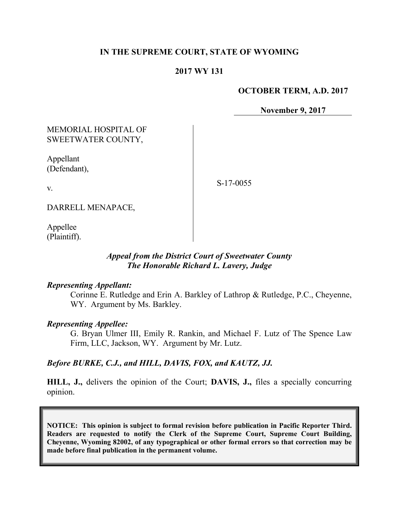## **IN THE SUPREME COURT, STATE OF WYOMING**

## **2017 WY 131**

#### **OCTOBER TERM, A.D. 2017**

**November 9, 2017**

## MEMORIAL HOSPITAL OF SWEETWATER COUNTY,

Appellant (Defendant),

S-17-0055

v.

DARRELL MENAPACE,

Appellee (Plaintiff).

#### *Appeal from the District Court of Sweetwater County The Honorable Richard L. Lavery, Judge*

#### *Representing Appellant:*

Corinne E. Rutledge and Erin A. Barkley of Lathrop & Rutledge, P.C., Cheyenne, WY. Argument by Ms. Barkley.

#### *Representing Appellee:*

G. Bryan Ulmer III, Emily R. Rankin, and Michael F. Lutz of The Spence Law Firm, LLC, Jackson, WY. Argument by Mr. Lutz.

#### *Before BURKE, C.J., and HILL, DAVIS, FOX, and KAUTZ, JJ.*

**HILL, J.,** delivers the opinion of the Court; **DAVIS, J.,** files a specially concurring opinion.

**NOTICE: This opinion is subject to formal revision before publication in Pacific Reporter Third. Readers are requested to notify the Clerk of the Supreme Court, Supreme Court Building, Cheyenne, Wyoming 82002, of any typographical or other formal errors so that correction may be made before final publication in the permanent volume.**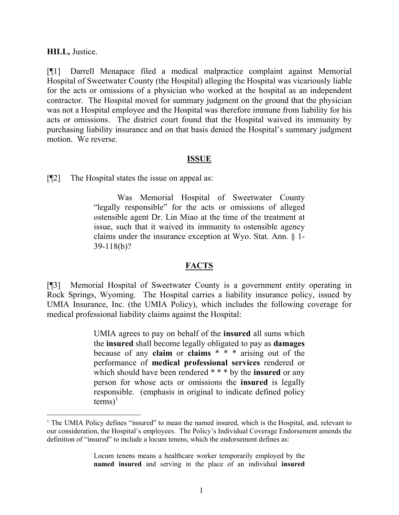#### **HILL,** Justice.

[¶1] Darrell Menapace filed a medical malpractice complaint against Memorial Hospital of Sweetwater County (the Hospital) alleging the Hospital was vicariously liable for the acts or omissions of a physician who worked at the hospital as an independent contractor. The Hospital moved for summary judgment on the ground that the physician was not a Hospital employee and the Hospital was therefore immune from liability for his acts or omissions. The district court found that the Hospital waived its immunity by purchasing liability insurance and on that basis denied the Hospital's summary judgment motion. We reverse.

#### **ISSUE**

[¶2] The Hospital states the issue on appeal as:

Was Memorial Hospital of Sweetwater County "legally responsible" for the acts or omissions of alleged ostensible agent Dr. Lin Miao at the time of the treatment at issue, such that it waived its immunity to ostensible agency claims under the insurance exception at Wyo. Stat. Ann. § 1- 39-118(b)?

## **FACTS**

[¶3] Memorial Hospital of Sweetwater County is a government entity operating in Rock Springs, Wyoming. The Hospital carries a liability insurance policy, issued by UMIA Insurance, Inc. (the UMIA Policy), which includes the following coverage for medical professional liability claims against the Hospital:

> UMIA agrees to pay on behalf of the **insured** all sums which the **insured** shall become legally obligated to pay as **damages** because of any **claim** or **claims** \* \* \* arising out of the performance of **medical professional services** rendered or which should have been rendered \* \* \* by the **insured** or any person for whose acts or omissions the **insured** is legally responsible. (emphasis in original to indicate defined policy  $terms)^{1}$

Locum tenens means a healthcare worker temporarily employed by the **named insured** and serving in the place of an individual **insured** 

<sup>&</sup>lt;sup>1</sup> The UMIA Policy defines "insured" to mean the named insured, which is the Hospital, and, relevant to our consideration, the Hospital's employees. The Policy's Individual Coverage Endorsement amends the definition of "insured" to include a locum tenens, which the endorsement defines as: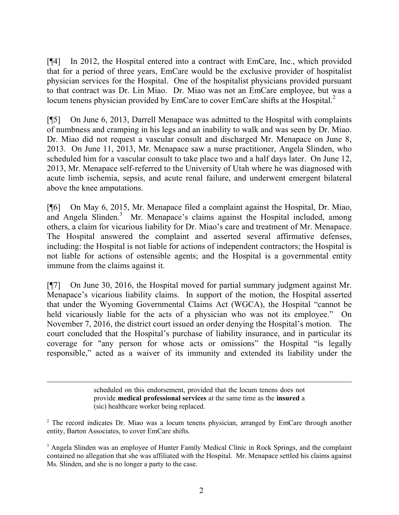[¶4] In 2012, the Hospital entered into a contract with EmCare, Inc., which provided that for a period of three years, EmCare would be the exclusive provider of hospitalist physician services for the Hospital. One of the hospitalist physicians provided pursuant to that contract was Dr. Lin Miao. Dr. Miao was not an EmCare employee, but was a locum tenens physician provided by EmCare to cover EmCare shifts at the Hospital.<sup>2</sup>

[¶5] On June 6, 2013, Darrell Menapace was admitted to the Hospital with complaints of numbness and cramping in his legs and an inability to walk and was seen by Dr. Miao. Dr. Miao did not request a vascular consult and discharged Mr. Menapace on June 8, 2013. On June 11, 2013, Mr. Menapace saw a nurse practitioner, Angela Slinden, who scheduled him for a vascular consult to take place two and a half days later. On June 12, 2013, Mr. Menapace self-referred to the University of Utah where he was diagnosed with acute limb ischemia, sepsis, and acute renal failure, and underwent emergent bilateral above the knee amputations.

[¶6] On May 6, 2015, Mr. Menapace filed a complaint against the Hospital, Dr. Miao, and Angela Slinden.<sup>3</sup> Mr. Menapace's claims against the Hospital included, among others, a claim for vicarious liability for Dr. Miao's care and treatment of Mr. Menapace. The Hospital answered the complaint and asserted several affirmative defenses, including: the Hospital is not liable for actions of independent contractors; the Hospital is not liable for actions of ostensible agents; and the Hospital is a governmental entity immune from the claims against it.

[¶7] On June 30, 2016, the Hospital moved for partial summary judgment against Mr. Menapace's vicarious liability claims. In support of the motion, the Hospital asserted that under the Wyoming Governmental Claims Act (WGCA), the Hospital "cannot be held vicariously liable for the acts of a physician who was not its employee." On November 7, 2016, the district court issued an order denying the Hospital's motion. The court concluded that the Hospital's purchase of liability insurance, and in particular its coverage for "any person for whose acts or omissions" the Hospital "is legally responsible," acted as a waiver of its immunity and extended its liability under the

> scheduled on this endorsement, provided that the locum tenens does not provide **medical professional services** at the same time as the **insured** a (sic) healthcare worker being replaced.

 $\overline{a}$ 

<sup>&</sup>lt;sup>2</sup> The record indicates Dr. Miao was a locum tenens physician, arranged by EmCare through another entity, Barton Associates, to cover EmCare shifts.

<sup>&</sup>lt;sup>3</sup> Angela Slinden was an employee of Hunter Family Medical Clinic in Rock Springs, and the complaint contained no allegation that she was affiliated with the Hospital. Mr. Menapace settled his claims against Ms. Slinden, and she is no longer a party to the case.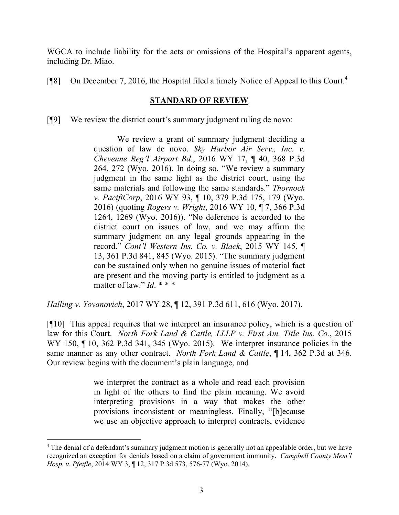WGCA to include liability for the acts or omissions of the Hospital's apparent agents, including Dr. Miao.

[ $[$ [8] On December 7, 2016, the Hospital filed a timely Notice of Appeal to this Court.<sup>4</sup>

## **STANDARD OF REVIEW**

[¶9] We review the district court's summary judgment ruling de novo:

We review a grant of summary judgment deciding a question of law de novo. *Sky Harbor Air Serv., Inc. v. Cheyenne Reg'l Airport Bd.*, 2016 WY 17, ¶ 40, 368 P.3d 264, 272 (Wyo. 2016). In doing so, "We review a summary judgment in the same light as the district court, using the same materials and following the same standards." *Thornock v. PacifiCorp*, 2016 WY 93, ¶ 10, 379 P.3d 175, 179 (Wyo. 2016) (quoting *Rogers v. Wright*, 2016 WY 10, ¶ 7, 366 P.3d 1264, 1269 (Wyo. 2016)). "No deference is accorded to the district court on issues of law, and we may affirm the summary judgment on any legal grounds appearing in the record." *Cont'l Western Ins. Co. v. Black*, 2015 WY 145, ¶ 13, 361 P.3d 841, 845 (Wyo. 2015). "The summary judgment can be sustained only when no genuine issues of material fact are present and the moving party is entitled to judgment as a matter of law." *Id*. \* \* \*

*Halling v. Yovanovich*, 2017 WY 28, ¶ 12, 391 P.3d 611, 616 (Wyo. 2017).

l

[¶10] This appeal requires that we interpret an insurance policy, which is a question of law for this Court. *North Fork Land & Cattle, LLLP v. First Am. Title Ins. Co.*, 2015 WY 150,  $\P$  10, 362 P.3d 341, 345 (Wyo. 2015). We interpret insurance policies in the same manner as any other contract. *North Fork Land & Cattle*, ¶ 14, 362 P.3d at 346. Our review begins with the document's plain language, and

> we interpret the contract as a whole and read each provision in light of the others to find the plain meaning. We avoid interpreting provisions in a way that makes the other provisions inconsistent or meaningless. Finally, "[b]ecause we use an objective approach to interpret contracts, evidence

<sup>&</sup>lt;sup>4</sup> The denial of a defendant's summary judgment motion is generally not an appealable order, but we have recognized an exception for denials based on a claim of government immunity. *Campbell County Mem'l Hosp. v. Pfeifle*, 2014 WY 3, ¶ 12, 317 P.3d 573, 576-77 (Wyo. 2014).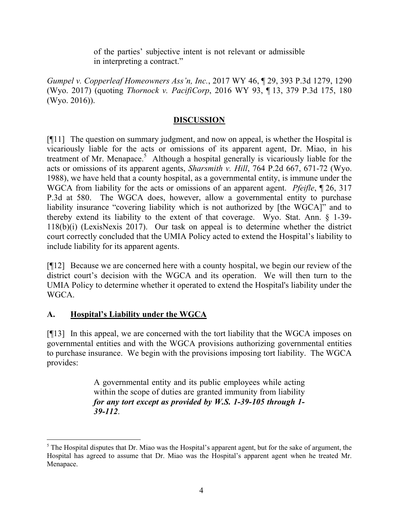of the parties' subjective intent is not relevant or admissible in interpreting a contract."

*Gumpel v. Copperleaf Homeowners Ass'n, Inc.*, 2017 WY 46, ¶ 29, 393 P.3d 1279, 1290 (Wyo. 2017) (quoting *Thornock v. PacifiCorp*, 2016 WY 93, ¶ 13, 379 P.3d 175, 180 (Wyo. 2016)).

## **DISCUSSION**

[¶11] The question on summary judgment, and now on appeal, is whether the Hospital is vicariously liable for the acts or omissions of its apparent agent, Dr. Miao, in his treatment of Mr. Menapace.<sup>5</sup> Although a hospital generally is vicariously liable for the acts or omissions of its apparent agents, *Sharsmith v. Hill*, 764 P.2d 667, 671-72 (Wyo. 1988), we have held that a county hospital, as a governmental entity, is immune under the WGCA from liability for the acts or omissions of an apparent agent. *Pfeifle*, ¶ 26, 317 P.3d at 580. The WGCA does, however, allow a governmental entity to purchase liability insurance "covering liability which is not authorized by [the WGCA]" and to thereby extend its liability to the extent of that coverage. Wyo. Stat. Ann. § 1-39- 118(b)(i) (LexisNexis 2017). Our task on appeal is to determine whether the district court correctly concluded that the UMIA Policy acted to extend the Hospital's liability to include liability for its apparent agents.

[¶12] Because we are concerned here with a county hospital, we begin our review of the district court's decision with the WGCA and its operation. We will then turn to the UMIA Policy to determine whether it operated to extend the Hospital's liability under the WGCA.

# **A. Hospital's Liability under the WGCA**

l

[¶13] In this appeal, we are concerned with the tort liability that the WGCA imposes on governmental entities and with the WGCA provisions authorizing governmental entities to purchase insurance. We begin with the provisions imposing tort liability. The WGCA provides:

> A governmental entity and its public employees while acting within the scope of duties are granted immunity from liability *for any tort except as provided by W.S. 1-39-105 through 1- 39-112*.

<sup>&</sup>lt;sup>5</sup> The Hospital disputes that Dr. Miao was the Hospital's apparent agent, but for the sake of argument, the Hospital has agreed to assume that Dr. Miao was the Hospital's apparent agent when he treated Mr. Menapace.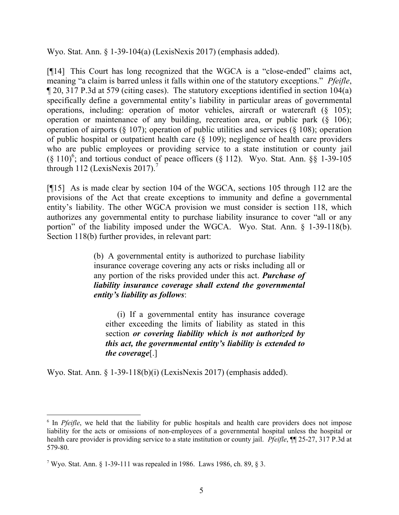Wyo. Stat. Ann. § 1-39-104(a) (LexisNexis 2017) (emphasis added).

[¶14] This Court has long recognized that the WGCA is a "close-ended" claims act, meaning "a claim is barred unless it falls within one of the statutory exceptions." *Pfeifle*, ¶ 20, 317 P.3d at 579 (citing cases). The statutory exceptions identified in section 104(a) specifically define a governmental entity's liability in particular areas of governmental operations, including: operation of motor vehicles, aircraft or watercraft (§ 105); operation or maintenance of any building, recreation area, or public park (§ 106); operation of airports (§ 107); operation of public utilities and services (§ 108); operation of public hospital or outpatient health care (§ 109); negligence of health care providers who are public employees or providing service to a state institution or county jail  $(\S 110)^6$ ; and tortious conduct of peace officers  $(\S 112)$ . Wyo. Stat. Ann.  $\S \S 1-39-105$ through 112 (LexisNexis 2017).<sup>7</sup>

[¶15] As is made clear by section 104 of the WGCA, sections 105 through 112 are the provisions of the Act that create exceptions to immunity and define a governmental entity's liability. The other WGCA provision we must consider is section 118, which authorizes any governmental entity to purchase liability insurance to cover "all or any portion" of the liability imposed under the WGCA. Wyo. Stat. Ann. § 1-39-118(b). Section 118(b) further provides, in relevant part:

> (b) A governmental entity is authorized to purchase liability insurance coverage covering any acts or risks including all or any portion of the risks provided under this act. *Purchase of liability insurance coverage shall extend the governmental entity's liability as follows*:

(i) If a governmental entity has insurance coverage either exceeding the limits of liability as stated in this section *or covering liability which is not authorized by this act, the governmental entity's liability is extended to the coverage*[.]

Wyo. Stat. Ann. § 1-39-118(b)(i) (LexisNexis 2017) (emphasis added).

<sup>&</sup>lt;sup>6</sup> In *Pfeifle*, we held that the liability for public hospitals and health care providers does not impose liability for the acts or omissions of non-employees of a governmental hospital unless the hospital or health care provider is providing service to a state institution or county jail. *Pfeifle*, ¶¶ 25-27, 317 P.3d at 579-80.

<sup>&</sup>lt;sup>7</sup> Wyo. Stat. Ann. § 1-39-111 was repealed in 1986. Laws 1986, ch. 89, § 3.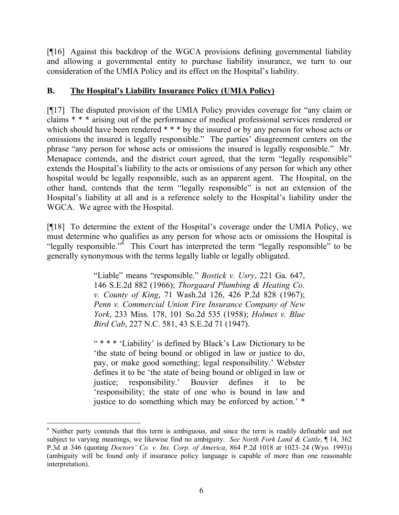[¶16] Against this backdrop of the WGCA provisions defining governmental liability and allowing a governmental entity to purchase liability insurance, we turn to our consideration of the UMIA Policy and its effect on the Hospital's liability.

# **B. The Hospital's Liability Insurance Policy (UMIA Policy)**

[¶17] The disputed provision of the UMIA Policy provides coverage for "any claim or claims \* \* \* arising out of the performance of medical professional services rendered or which should have been rendered \* \* \* by the insured or by any person for whose acts or omissions the insured is legally responsible." The parties' disagreement centers on the phrase "any person for whose acts or omissions the insured is legally responsible." Mr. Menapace contends, and the district court agreed, that the term "legally responsible" extends the Hospital's liability to the acts or omissions of any person for which any other hospital would be legally responsible, such as an apparent agent. The Hospital, on the other hand, contends that the term "legally responsible" is not an extension of the Hospital's liability at all and is a reference solely to the Hospital's liability under the WGCA. We agree with the Hospital.

[¶18] To determine the extent of the Hospital's coverage under the UMIA Policy, we must determine who qualifies as any person for whose acts or omissions the Hospital is "legally responsible."<sup> $\delta$ </sup> This Court has interpreted the term "legally responsible" to be generally synonymous with the terms legally liable or legally obligated.

> "Liable" means "responsible." *Bostick v. Usry*, 221 Ga. 647, 146 S.E.2d 882 (1966); *Thorgaard Plumbing & Heating Co. v. County of King*, 71 Wash.2d 126, 426 P.2d 828 (1967); *Penn v. Commercial Union Fire Insurance Company of New York*, 233 Miss. 178, 101 So.2d 535 (1958); *Holmes v. Blue Bird Cab*, 227 N.C. 581, 43 S.E.2d 71 (1947).

> " \* \* \* 'Liability' is defined by Black's Law Dictionary to be 'the state of being bound or obliged in law or justice to do, pay, or make good something; legal responsibility.' Webster defines it to be 'the state of being bound or obliged in law or justice; responsibility.' Bouvier defines it to be 'responsibility; the state of one who is bound in law and justice to do something which may be enforced by action.' \*

 $\overline{a}$ 

<sup>&</sup>lt;sup>8</sup> Neither party contends that this term is ambiguous, and since the term is readily definable and not subject to varying meanings, we likewise find no ambiguity. *See North Fork Land & Cattle*, ¶ 14, 362 P.3d at 346 (quoting *Doctors' Co. v. Ins. Corp. of America*, 864 P.2d 1018 at 1023–24 (Wyo. 1993)) (ambiguity will be found only if insurance policy language is capable of more than one reasonable interpretation).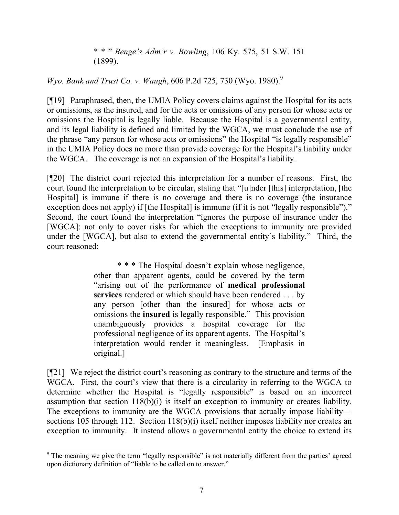\* \* " *Benge's Adm'r v. Bowling*, 106 Ky. 575, 51 S.W. 151 (1899).

*Wyo. Bank and Trust Co. v. Waugh, 606 P.2d 725, 730 (Wyo. 1980).*<sup>9</sup>

[¶19] Paraphrased, then, the UMIA Policy covers claims against the Hospital for its acts or omissions, as the insured, and for the acts or omissions of any person for whose acts or omissions the Hospital is legally liable. Because the Hospital is a governmental entity, and its legal liability is defined and limited by the WGCA, we must conclude the use of the phrase "any person for whose acts or omissions" the Hospital "is legally responsible" in the UMIA Policy does no more than provide coverage for the Hospital's liability under the WGCA. The coverage is not an expansion of the Hospital's liability.

[¶20] The district court rejected this interpretation for a number of reasons. First, the court found the interpretation to be circular, stating that "[u]nder [this] interpretation, [the Hospital] is immune if there is no coverage and there is no coverage (the insurance exception does not apply) if [the Hospital] is immune (if it is not "legally responsible")." Second, the court found the interpretation "ignores the purpose of insurance under the [WGCA]: not only to cover risks for which the exceptions to immunity are provided under the [WGCA], but also to extend the governmental entity's liability." Third, the court reasoned:

> \* \* \* The Hospital doesn't explain whose negligence, other than apparent agents, could be covered by the term "arising out of the performance of **medical professional services** rendered or which should have been rendered . . . by any person [other than the insured] for whose acts or omissions the **insured** is legally responsible." This provision unambiguously provides a hospital coverage for the professional negligence of its apparent agents. The Hospital's interpretation would render it meaningless. [Emphasis in original.]

[¶21] We reject the district court's reasoning as contrary to the structure and terms of the WGCA. First, the court's view that there is a circularity in referring to the WGCA to determine whether the Hospital is "legally responsible" is based on an incorrect assumption that section 118(b)(i) is itself an exception to immunity or creates liability. The exceptions to immunity are the WGCA provisions that actually impose liability sections 105 through 112. Section 118(b)(i) itself neither imposes liability nor creates an exception to immunity. It instead allows a governmental entity the choice to extend its

<sup>&</sup>lt;sup>9</sup> The meaning we give the term "legally responsible" is not materially different from the parties' agreed upon dictionary definition of "liable to be called on to answer."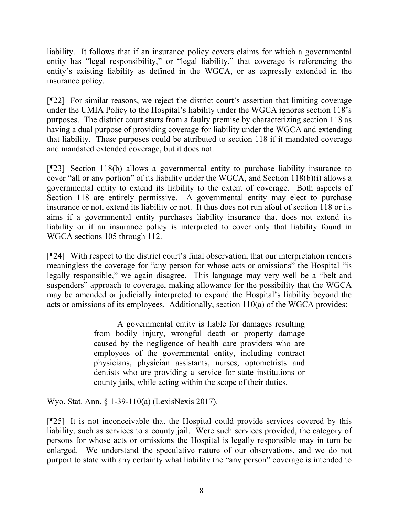liability. It follows that if an insurance policy covers claims for which a governmental entity has "legal responsibility," or "legal liability," that coverage is referencing the entity's existing liability as defined in the WGCA, or as expressly extended in the insurance policy.

[¶22] For similar reasons, we reject the district court's assertion that limiting coverage under the UMIA Policy to the Hospital's liability under the WGCA ignores section 118's purposes. The district court starts from a faulty premise by characterizing section 118 as having a dual purpose of providing coverage for liability under the WGCA and extending that liability. These purposes could be attributed to section 118 if it mandated coverage and mandated extended coverage, but it does not.

[¶23] Section 118(b) allows a governmental entity to purchase liability insurance to cover "all or any portion" of its liability under the WGCA, and Section 118(b)(i) allows a governmental entity to extend its liability to the extent of coverage. Both aspects of Section 118 are entirely permissive. A governmental entity may elect to purchase insurance or not, extend its liability or not. It thus does not run afoul of section 118 or its aims if a governmental entity purchases liability insurance that does not extend its liability or if an insurance policy is interpreted to cover only that liability found in WGCA sections 105 through 112.

[¶24] With respect to the district court's final observation, that our interpretation renders meaningless the coverage for "any person for whose acts or omissions" the Hospital "is legally responsible," we again disagree. This language may very well be a "belt and suspenders" approach to coverage, making allowance for the possibility that the WGCA may be amended or judicially interpreted to expand the Hospital's liability beyond the acts or omissions of its employees. Additionally, section 110(a) of the WGCA provides:

> A governmental entity is liable for damages resulting from bodily injury, wrongful death or property damage caused by the negligence of health care providers who are employees of the governmental entity, including contract physicians, physician assistants, nurses, optometrists and dentists who are providing a service for state institutions or county jails, while acting within the scope of their duties.

Wyo. Stat. Ann. § 1-39-110(a) (LexisNexis 2017).

[¶25] It is not inconceivable that the Hospital could provide services covered by this liability, such as services to a county jail. Were such services provided, the category of persons for whose acts or omissions the Hospital is legally responsible may in turn be enlarged. We understand the speculative nature of our observations, and we do not purport to state with any certainty what liability the "any person" coverage is intended to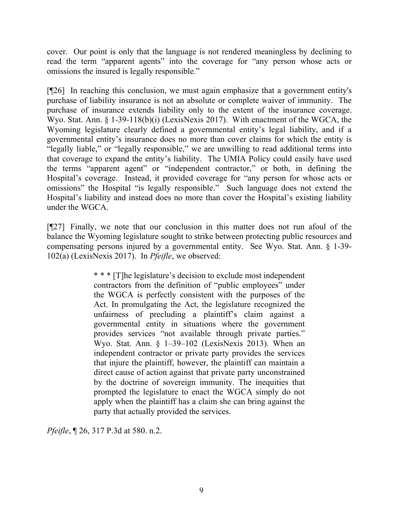cover. Our point is only that the language is not rendered meaningless by declining to read the term "apparent agents" into the coverage for "any person whose acts or omissions the insured is legally responsible."

[¶26] In reaching this conclusion, we must again emphasize that a government entity's purchase of liability insurance is not an absolute or complete waiver of immunity. The purchase of insurance extends liability only to the extent of the insurance coverage. Wyo. Stat. Ann. § 1-39-118(b)(i) (LexisNexis 2017). With enactment of the WGCA, the Wyoming legislature clearly defined a governmental entity's legal liability, and if a governmental entity's insurance does no more than cover claims for which the entity is "legally liable," or "legally responsible," we are unwilling to read additional terms into that coverage to expand the entity's liability. The UMIA Policy could easily have used the terms "apparent agent" or "independent contractor," or both, in defining the Hospital's coverage. Instead, it provided coverage for "any person for whose acts or omissions" the Hospital "is legally responsible." Such language does not extend the Hospital's liability and instead does no more than cover the Hospital's existing liability under the WGCA.

[¶27] Finally, we note that our conclusion in this matter does not run afoul of the balance the Wyoming legislature sought to strike between protecting public resources and compensating persons injured by a governmental entity. See Wyo. Stat. Ann. § 1-39- 102(a) (LexisNexis 2017). In *Pfeifle*, we observed:

> \* \* \* [T]he legislature's decision to exclude most independent contractors from the definition of "public employees" under the WGCA is perfectly consistent with the purposes of the Act. In promulgating the Act, the legislature recognized the unfairness of precluding a plaintiff's claim against a governmental entity in situations where the government provides services "not available through private parties." Wyo. Stat. Ann. § 1–39–102 (LexisNexis 2013). When an independent contractor or private party provides the services that injure the plaintiff, however, the plaintiff can maintain a direct cause of action against that private party unconstrained by the doctrine of sovereign immunity. The inequities that prompted the legislature to enact the WGCA simply do not apply when the plaintiff has a claim she can bring against the party that actually provided the services.

*Pfeifle*, ¶ 26, 317 P.3d at 580. n.2.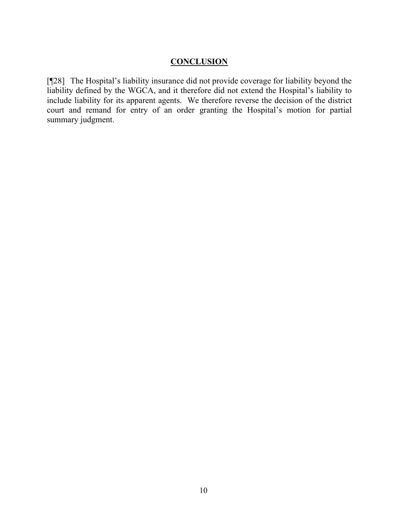## **CONCLUSION**

[¶28] The Hospital's liability insurance did not provide coverage for liability beyond the liability defined by the WGCA, and it therefore did not extend the Hospital's liability to include liability for its apparent agents. We therefore reverse the decision of the district court and remand for entry of an order granting the Hospital's motion for partial summary judgment.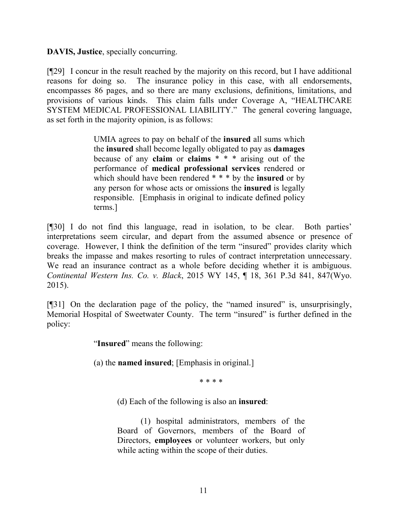**DAVIS, Justice**, specially concurring.

[¶29] I concur in the result reached by the majority on this record, but I have additional reasons for doing so. The insurance policy in this case, with all endorsements, encompasses 86 pages, and so there are many exclusions, definitions, limitations, and provisions of various kinds. This claim falls under Coverage A, "HEALTHCARE SYSTEM MEDICAL PROFESSIONAL LIABILITY." The general covering language, as set forth in the majority opinion, is as follows:

> UMIA agrees to pay on behalf of the **insured** all sums which the **insured** shall become legally obligated to pay as **damages** because of any **claim** or **claims** \* \* \* arising out of the performance of **medical professional services** rendered or which should have been rendered \* \* \* by the **insured** or by any person for whose acts or omissions the **insured** is legally responsible. [Emphasis in original to indicate defined policy terms.]

[¶30] I do not find this language, read in isolation, to be clear. Both parties' interpretations seem circular, and depart from the assumed absence or presence of coverage. However, I think the definition of the term "insured" provides clarity which breaks the impasse and makes resorting to rules of contract interpretation unnecessary. We read an insurance contract as a whole before deciding whether it is ambiguous. *Continental Western Ins. Co. v. Black*, 2015 WY 145, ¶ 18, 361 P.3d 841, 847(Wyo. 2015).

[¶31] On the declaration page of the policy, the "named insured" is, unsurprisingly, Memorial Hospital of Sweetwater County. The term "insured" is further defined in the policy:

"**Insured**" means the following:

(a) the **named insured**; [Emphasis in original.]

\* \* \* \*

(d) Each of the following is also an **insured**:

(1) hospital administrators, members of the Board of Governors, members of the Board of Directors, **employees** or volunteer workers, but only while acting within the scope of their duties.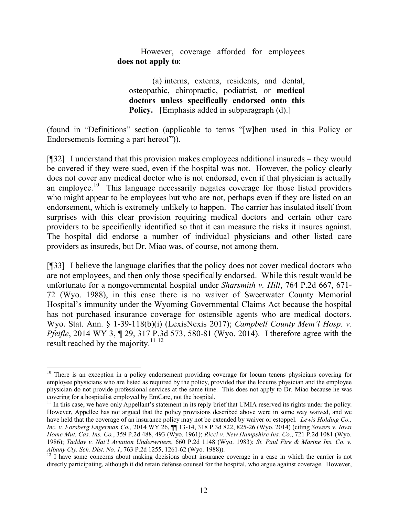However, coverage afforded for employees **does not apply to**:

(a) interns, externs, residents, and dental, osteopathic, chiropractic, podiatrist, or **medical doctors unless specifically endorsed onto this Policy.** [Emphasis added in subparagraph (d).]

(found in "Definitions" section (applicable to terms "[w]hen used in this Policy or Endorsements forming a part hereof")).

[¶32] I understand that this provision makes employees additional insureds – they would be covered if they were sued, even if the hospital was not. However, the policy clearly does not cover any medical doctor who is not endorsed, even if that physician is actually an employee.<sup>10</sup> This language necessarily negates coverage for those listed providers who might appear to be employees but who are not, perhaps even if they are listed on an endorsement, which is extremely unlikely to happen. The carrier has insulated itself from surprises with this clear provision requiring medical doctors and certain other care providers to be specifically identified so that it can measure the risks it insures against. The hospital did endorse a number of individual physicians and other listed care providers as insureds, but Dr. Miao was, of course, not among them.

[¶33] I believe the language clarifies that the policy does not cover medical doctors who are not employees, and then only those specifically endorsed. While this result would be unfortunate for a nongovernmental hospital under *Sharsmith v. Hill*, 764 P.2d 667, 671- 72 (Wyo. 1988), in this case there is no waiver of Sweetwater County Memorial Hospital's immunity under the Wyoming Governmental Claims Act because the hospital has not purchased insurance coverage for ostensible agents who are medical doctors. Wyo. Stat. Ann. § 1-39-118(b)(i) (LexisNexis 2017); *Campbell County Mem'l Hosp. v. Pfeifle*, 2014 WY 3, ¶ 29, 317 P.3d 573, 580-81 (Wyo. 2014). I therefore agree with the result reached by the majority.<sup>11 12</sup>

l

<sup>&</sup>lt;sup>10</sup> There is an exception in a policy endorsement providing coverage for locum tenens physicians covering for employee physicians who are listed as required by the policy, provided that the locums physician and the employee physician do not provide professional services at the same time. This does not apply to Dr. Miao because he was covering for a hospitalist employed by EmCare, not the hospital.

 $11$  In this case, we have only Appellant's statement in its reply brief that UMIA reserved its rights under the policy. However, Appellee has not argued that the policy provisions described above were in some way waived, and we have held that the coverage of an insurance policy may not be extended by waiver or estoppel. *Lewis Holding Co., Inc. v. Forsberg Engerman Co.,* 2014 WY 26, ¶¶ 13-14, 318 P.3d 822, 825-26 (Wyo. 2014) (citing *Sowers v. Iowa Home Mut. Cas. Ins. Co.*, 359 P.2d 488, 493 (Wyo. 1961); *Ricci v. New Hampshire Ins. Co*., 721 P.2d 1081 (Wyo. 1986); *Tadday v. Nat'l Aviation Underwriters*, 660 P.2d 1148 (Wyo. 1983); *St. Paul Fire & Marine Ins. Co. v. Albany Cty. Sch. Dist. No. 1*, 763 P.2d 1255, 1261-62 (Wyo. 1988)).

<sup>&</sup>lt;sup>12</sup> I have some concerns about making decisions about insurance coverage in a case in which the carrier is not directly participating, although it did retain defense counsel for the hospital, who argue against coverage. However,